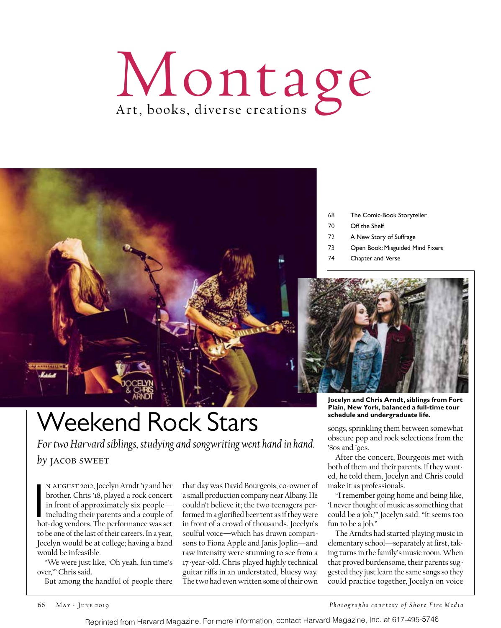# Montage



## Weekend Rock Stars

*For two Harvard siblings, studying and songwriting went hand in hand.* by **JACOB** SWEET

N AUGUST 2012, Jocelyn Arndt '17 and her<br>brother, Chris '18, played a rock concert<br>in front of approximately six people—<br>including their parents and a couple of<br>hot-dog vendors. The performance was set n August 2012, Jocelyn Arndt '17 and her brother, Chris '18, played a rock concert in front of approximately six people including their parents and a couple of to be one of the last of their careers. In a year, Jocelyn would be at college; having a band would be infeasible.

"We were just like, 'Oh yeah, fun time's over,'" Chris said.

But among the handful of people there

that day was David Bourgeois, co-owner of a small production company near Albany. He couldn't believe it; the two teenagers performed in a glorified beer tent as if they were in front of a crowd of thousands. Jocelyn's soulful voice—which has drawn comparisons to Fiona Apple and Janis Joplin—and raw intensity were stunning to see from a 17-year-old. Chris played highly technical guitar riffs in an understated, bluesy way. The two had even written some of their own

68 The Comic-Book Storyteller

- 70 Off the Shelf
- 72 A New Story of Suffrage
- 73 Open Book: Misguided Mind Fixers
- 74 Chapter and Verse



**Jocelyn and Chris Arndt, siblings from Fort Plain, New York, balanced a full-time tour schedule and undergraduate life.** 

songs, sprinkling them between somewhat obscure pop and rock selections from the '80s and '90s.

After the concert, Bourgeois met with both of them and their parents. If they wanted, he told them, Jocelyn and Chris could make it as professionals.

"I remember going home and being like, 'I never thought of music as something that could be a job,'" Jocelyn said. "It seems too fun to be a job."

The Arndts had started playing music in elementary school—separately at first, taking turns in the family's music room. When that proved burdensome, their parents suggested they just learn the same songs so they could practice together, Jocelyn on voice

*Photographs courtesy of Shore Fire Media*

Reprinted from Harvard Magazine. For more information, contact Harvard Magazine, Inc. at 617-495-5746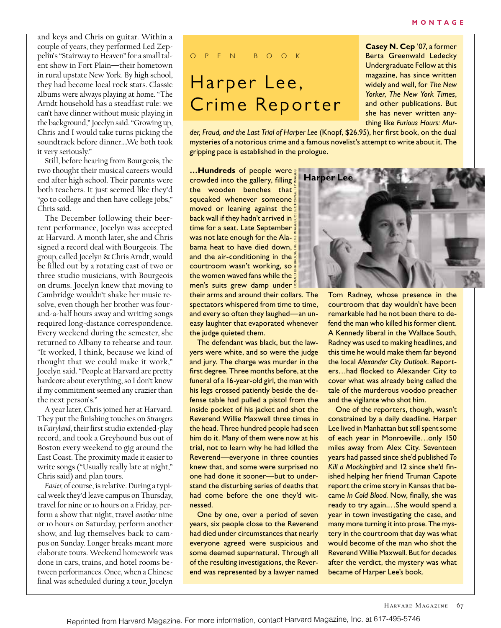and keys and Chris on guitar. Within a couple of years, they performed Led Zeppelin's "Stairway to Heaven" for a small talent show in Fort Plain—their hometown in rural upstate New York. By high school, they had become local rock stars. Classic albums were always playing at home. "The Arndt household has a steadfast rule: we can't have dinner without music playing in the background," Jocelyn said. "Growing up, Chris and I would take turns picking the soundtrack before dinner….We both took it very seriously."

Still, before hearing from Bourgeois, the two thought their musical careers would end after high school. Their parents were both teachers. It just seemed like they'd "go to college and then have college jobs," Chris said.

The December following their beertent performance, Jocelyn was accepted at Harvard. A month later, she and Chris signed a record deal with Bourgeois. The group, called Jocelyn & Chris Arndt, would be filled out by a rotating cast of two or three studio musicians, with Bourgeois on drums. Jocelyn knew that moving to Cambridge wouldn't shake her music resolve, even though her brother was fourand-a-half hours away and writing songs required long-distance correspondence. Every weekend during the semester, she returned to Albany to rehearse and tour. "It worked, I think, because we kind of thought that we could make it work," Jocelyn said. "People at Harvard are pretty hardcore about everything, so I don't know if my commitment seemed any crazier than the next person's."

A year later, Chris joined her at Harvard. They put the finishing touches on *Strangers in Fairyland*, their first studio extended-play record, and took a Greyhound bus out of Boston every weekend to gig around the East Coast. The proximity made it easier to write songs ("Usually really late at night," Chris said) and plan tours.

*Easier,* of course, is relative. During a typical week they'd leave campus on Thursday, travel for nine or 10 hours on a Friday, perform a show that night, travel *another* nine or 10 hours on Saturday, perform another show, and lug themselves back to campus on Sunday. Longer breaks meant more elaborate tours. Weekend homework was done in cars, trains, and hotel rooms between performances. Once, when a Chinese final was scheduled during a tour, Jocelyn

### o p e n b o o k

## Harper Lee, Crime Reporter

**Casey N. Cep** '07, a former Berta Greenwald Ledecky Undergraduate Fellow at this magazine, has since written widely and well, for *The New Yorker*, *The New York Times*, and other publications. But she has never written anything like *Furious Hours: Mur-*

*der, Fraud, and the Last Trial of Harper Lee* (Knopf, \$26.95), her first book, on the dual mysteries of a notorious crime and a famous novelist's attempt to write about it. The gripping pace is established in the prologue.

**…Hundreds** of people were crowded into the gallery, filling the wooden benches that squeaked whenever someone moved or leaning against the back wall if they hadn't arrived in  $\frac{8}{9}$ time for a seat. Late September<sup> $\frac{3}{5}$ </sup> was not late enough for the Alabama heat to have died down, and the air-conditioning in the courtroom wasn't working, so the women waved fans while the men's suits grew damp under DONALD UHRBROCK/THE *LIFE* IMAGES COLLECTION/GETTY IMAGES

their arms and around their collars. The spectators whispered from time to time, and every so often they laughed—an uneasy laughter that evaporated whenever the judge quieted them.

The defendant was black, but the lawyers were white, and so were the judge and jury. The charge was murder in the first degree. Three months before, at the funeral of a 16-year-old girl, the man with his legs crossed patiently beside the defense table had pulled a pistol from the inside pocket of his jacket and shot the Reverend Willie Maxwell three times in the head. Three hundred people had seen him do it. Many of them were now at his trial, not to learn why he had killed the Reverend—everyone in three counties knew that, and some were surprised no one had done it sooner—but to understand the disturbing series of deaths that had come before the one they'd witnessed.

One by one, over a period of seven years, six people close to the Reverend had died under circumstances that nearly everyone agreed were suspicious and some deemed supernatural. Through all of the resulting investigations, the Reverend was represented by a lawyer named



Tom Radney, whose presence in the courtroom that day wouldn't have been remarkable had he not been there to defend the man who killed his former client. A Kennedy liberal in the Wallace South, Radney was used to making headlines, and this time he would make them far beyond the local *Alexander City Outlook*. Reporters…had flocked to Alexander City to cover what was already being called the tale of the murderous voodoo preacher and the vigilante who shot him.

One of the reporters, though, wasn't constrained by a daily deadline. Harper Lee lived in Manhattan but still spent some of each year in Monroeville…only 150 miles away from Alex City. Seventeen years had passed since she'd published *To Kill a Mockingbird* and 12 since she'd finished helping her friend Truman Capote report the crime story in Kansas that became *In Cold Blood.* Now, finally, she was ready to try again.…She would spend a year in town investigating the case, and many more turning it into prose. The mystery in the courtroom that day was what would become of the man who shot the Reverend Willie Maxwell. But for decades after the verdict, the mystery was what became of Harper Lee's book.